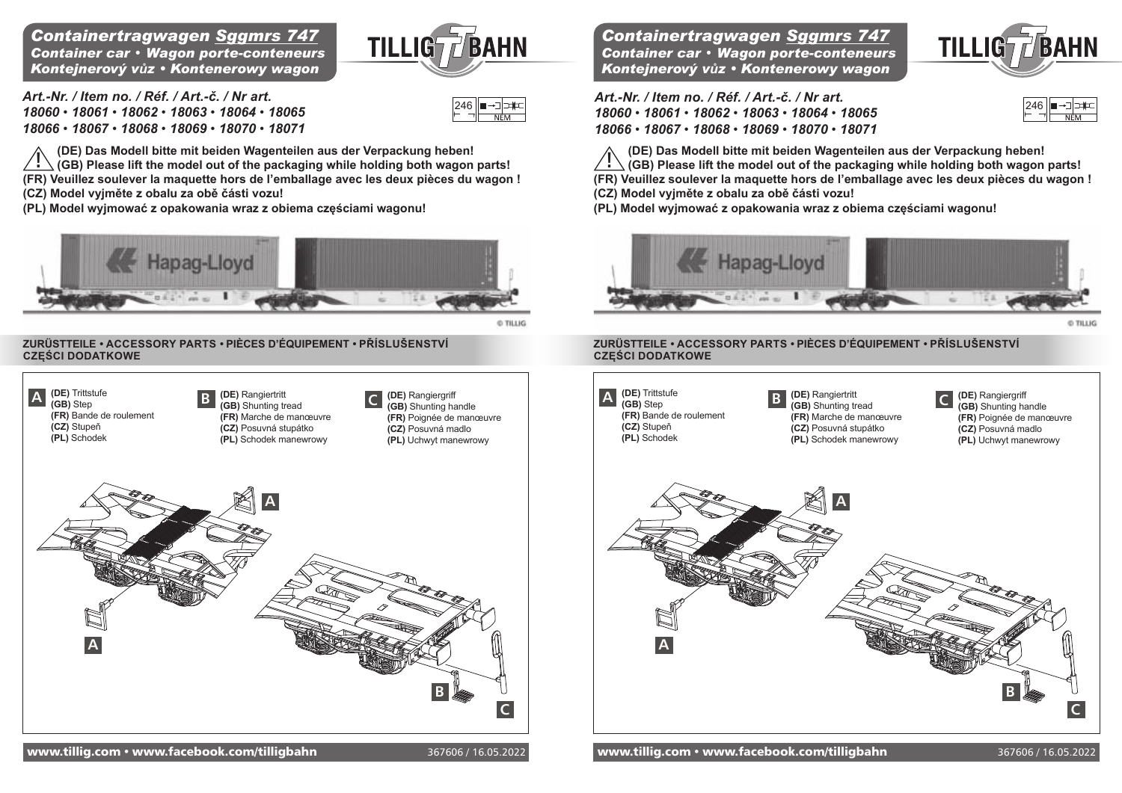### *Containertragwagen Sggmrs 747 Container car* • *Wagon porte-conteneurs Kontejnerový vůz • Kontenerowy wagon*

**TILLIGT/BAHN** 

*282* 246 *282*

*Art.-Nr. / Item no. / Réf. / Art.-č. / Nr art. 18060* • *18061* • *18062* • *18063* • *18064* • *18065 18066* • *18067* • *18068* • *18069* • *18070* • *18071*

**(De) Das Modell bitte mit beiden Wagenteilen aus der verpackung heben! (GB) Please lift the model out of the packaging while holding both wagon parts! (FR) veuillez soulever la maquette hors de l'emballage avec les deux pièces du wagon ! (CZ) Model vyjměte z obalu za obě části vozu! !**

**(Pl) Model wyjmować z opakowania wraz z obiema częściami wagonu!**



@ TILLIG

### **ZURÜSTTEILE** *•* **AccESSoRy pARTS** *•* **pIÈcES D'ÉQUIpEMENT** *•* **Příslušenství CZĘŚCI DODATKOWE**



*Containertragwagen Sggmrs 747 Container car* • *Wagon porte-conteneurs Kontejnerový vůz • Kontenerowy wagon*



*Art.-Nr. / Item no. / Réf. / Art.-č. / Nr art. 18060* • *18061* • *18062* • *18063* • *18064* • *18065 18066* • *18067* • *18068* • *18069* • *18070* • *18071*



**(De) Das Modell bitte mit beiden Wagenteilen aus der verpackung heben!** 

**(GB) Please lift the model out of the packaging while holding both wagon parts! (FR) veuillez soulever la maquette hors de l'emballage avec les deux pièces du wagon ! !**

**(CZ) Model vyjměte z obalu za obě části vozu!** 

**(Pl) Model wyjmować z opakowania wraz z obiema częściami wagonu!**



O TILLIG

#### **ZURÜSTTEILE** *•* **AccESSoRy pARTS** *•* **pIÈcES D'ÉQUIpEMENT** *•* **Příslušenství CZĘŚCI DODATKOWE**